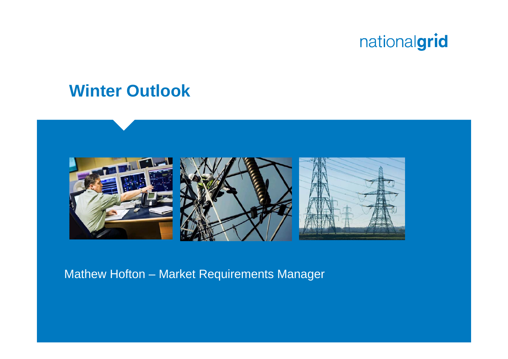## **Winter Outlook**



Mathew Hofton – Market Requirements Manager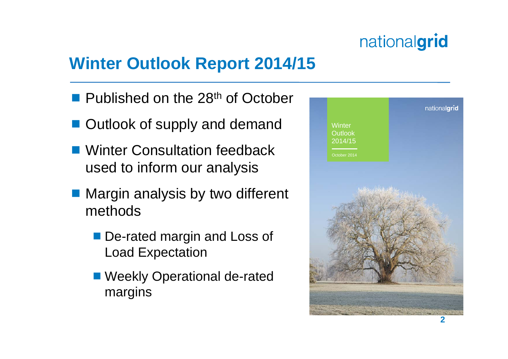## **Winter Outlook Report 2014/15**

- **Published on the 28<sup>th</sup> of October**
- Outlook of supply and demand
- Winter Consultation feedback used to inform our analysis
- Margin analysis by two different methods
	- De-rated margin and Loss of Load Expectation
	- Weekly Operational de-rated margins

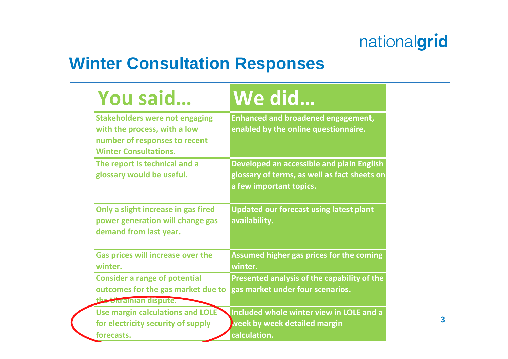## **Winter Consultation Responses**

| You said                                                                                                                               | We did                                                                                                               |
|----------------------------------------------------------------------------------------------------------------------------------------|----------------------------------------------------------------------------------------------------------------------|
| <b>Stakeholders were not engaging</b><br>with the process, with a low<br>number of responses to recent<br><b>Winter Consultations.</b> | <b>Enhanced and broadened engagement,</b><br>enabled by the online questionnaire.                                    |
| The report is technical and a<br>glossary would be useful.                                                                             | Developed an accessible and plain English<br>glossary of terms, as well as fact sheets on<br>a few important topics. |
| Only a slight increase in gas fired<br>power generation will change gas<br>demand from last year.                                      | <b>Updated our forecast using latest plant</b><br>availability.                                                      |
| <b>Gas prices will increase over the</b><br>winter.                                                                                    | <b>Assumed higher gas prices for the coming</b><br>winter.                                                           |
| <b>Consider a range of potential</b><br>outcomes for the gas market due to<br>the Ukrainian dispute.                                   | Presented analysis of the capability of the<br>gas market under four scenarios.                                      |
| Use margin calculations and LOLE<br>for electricity security of supply<br>forecasts.                                                   | Included whole winter view in LOLE and a<br>week by week detailed margin<br>calculation.                             |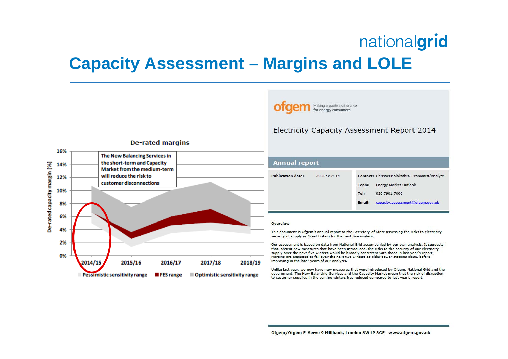## **Capacity Assessment – Margins and LOLE**



| Annual report    |              |        |                                                 |
|------------------|--------------|--------|-------------------------------------------------|
| ublication date: | 30 June 2014 |        | Contact: Christos Kolokathis, Economist/Analyst |
|                  |              | Team:  | <b>Energy Market Outlook</b>                    |
|                  |              | Tel:   | 020 7901 7000                                   |
|                  |              | Email: | capacity.assessment@ofgem.gov.uk                |

Electricity Capacity Assessment Report 2014

Making a positive difference for energy consumers

#### Overview

This document is Ofgem's annual report to the Secretary of State assessing the risks to electricity security of supply in Great Britain for the next five winters.

Our assessment is based on data from National Grid accompanied by our own analysis. It suggests that, absent new measures that have been introduced, the risks to the security of our electricity supply over the next five winters would be broadly consistent with those in last year's report. Margins are expected to fall over the next two winters as older power stations close, before improving in the later years of our analysis.

Unlike last year, we now have new measures that were introduced by Ofgem, National Grid and the government. The New Balancing Services and the Capacity Market mean that the risk of disruption to customer supplies in the coming winters has reduced compared to last year's report.

Ofgem/Ofgem E-Serve 9 Millbank, London SW1P 3GE www.ofgem.gov.uk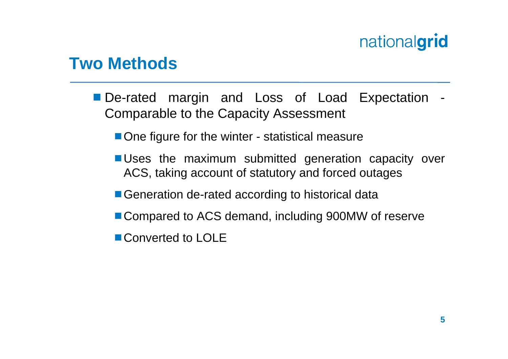## **Two Methods**

- De-rated margin and Loss of Load Expectation Comparable to the Capacity Assessment
	- One figure for the winter statistical measure
	- **Uses the maximum submitted generation capacity over** ACS, taking account of statutory and forced outages
	- Generation de-rated according to historical data
	- Compared to ACS demand, including 900MW of reserve
	- Converted to LOLE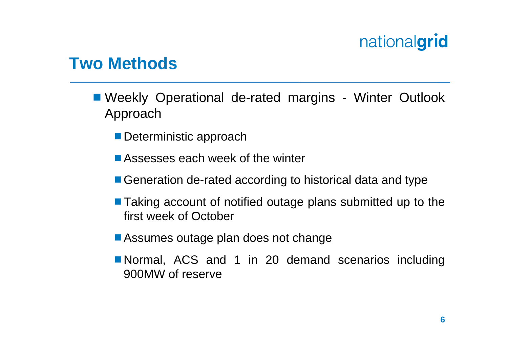## **Two Methods**

- Weekly Operational de-rated margins Winter Outlook Approach
	- Deterministic approach
	- Assesses each week of the winter
	- Generation de-rated according to historical data and type
	- Taking account of notified outage plans submitted up to the first week of October
	- Assumes outage plan does not change
	- Normal, ACS and 1 in 20 demand scenarios including 900MW of reserve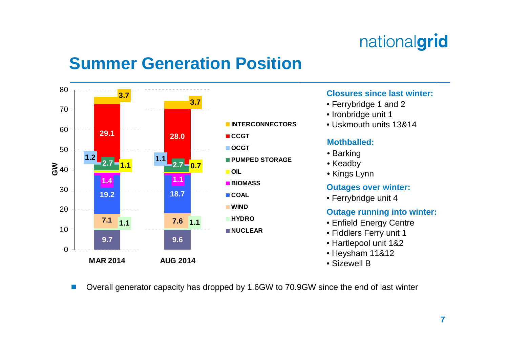## **Summer Generation Position**



#### **Closures since last winter:**

- Ferrybridge 1 and 2
- Ironbridge unit 1
- Uskmouth units 13&14

#### **Mothballed:**

- Barking
- Keadby
- Kings Lynn

#### **Outages over winter:**

• Ferrybridge unit 4

#### **Outage running into winter:**

- Enfield Energy Centre
- Fiddlers Ferry unit 1
- Hartlepool unit 1&2
- Heysham 11&12
- Sizewell B
- $\mathcal{L}_{\mathcal{A}}$ Overall generator capacity has dropped by 1.6GW to 70.9GW since the end of last winter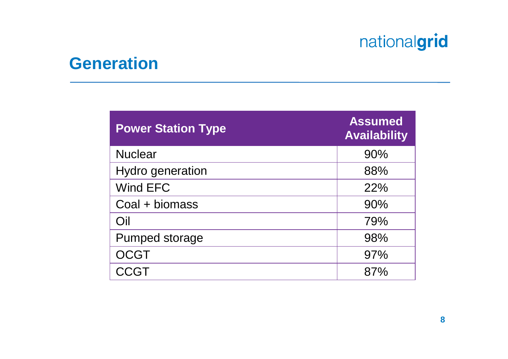## **Generation**

| <b>Power Station Type</b> | <b>Assumed</b><br><b>Availability</b> |
|---------------------------|---------------------------------------|
| <b>Nuclear</b>            | 90%                                   |
| <b>Hydro generation</b>   | 88%                                   |
| Wind EFC                  | 22%                                   |
| Coal + biomass            | 90%                                   |
| Oil                       | 79%                                   |
| <b>Pumped storage</b>     | 98%                                   |
| <b>OCGT</b>               | 97%                                   |
| CCGT                      | 87%                                   |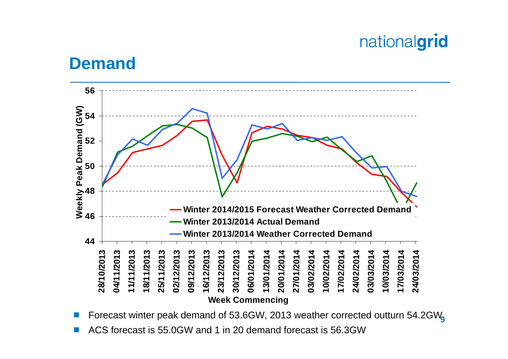### **Demand**



■ Forecast winter peak demand of 53.6GW, 2013 weather corrected outturn 54.2GW<sub>9</sub> F.

F. ACS forecast is 55.0GW and 1 in 20 demand forecast is 56.3GW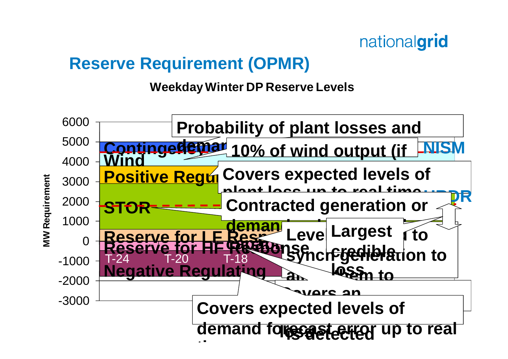## **Reserve Requirement (OPMR)**

**Weekday Winter DP Reserve Levels**

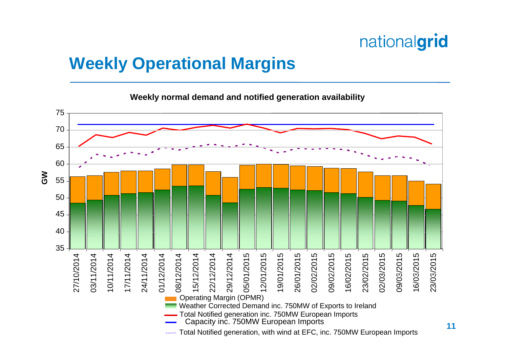## **Weekly Operational Margins**

**Weekly normal demand and notified generation availability**

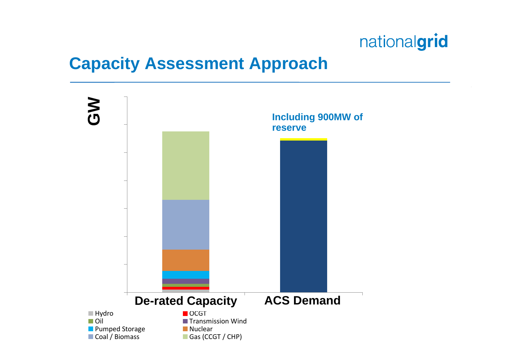## **Capacity Assessment Approach**

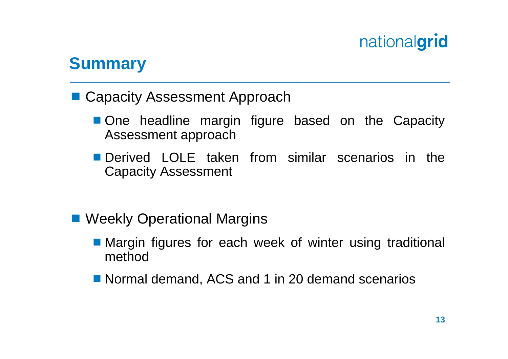## **Summary**

- Capacity Assessment Approach
	- One headline margin figure based on the Capacity Assessment approach
	- **Derived LOLE taken from similar scenarios in the** Capacity Assessment
- Weekly Operational Margins
	- Margin figures for each week of winter using traditional method
	- Normal demand, ACS and 1 in 20 demand scenarios